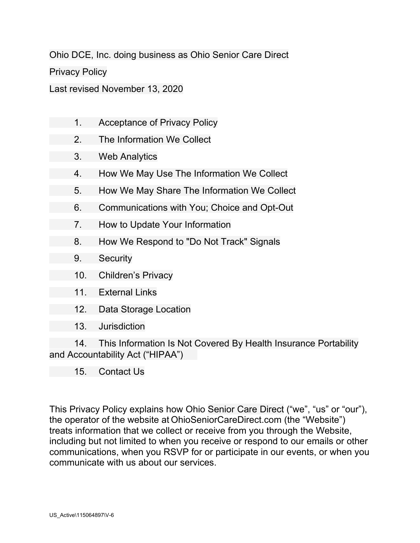Ohio DCE, Inc. doing business as Ohio Senior Care Direct

Privacy Policy

Last revised November 13, 2020

- 1. Acceptance of Privacy Policy
	- 2. The Information We Collect
	- 3. Web Analytics
	- 4. How We May Use The Information We Collect
	- 5. How We May Share The Information We Collect
	- 6. Communications with You; Choice and Opt-Out
	- 7. How to Update Your Information
	- 8. How We Respond to "Do Not Track" Signals
	- 9. Security
	- 10. Children's Privacy
	- 11. External Links
	- 12. Data Storage Location
	- 13. Jurisdiction

14. This Information Is Not Covered By Health Insurance Portability and Accountability Act ("HIPAA")

15. Contact Us

This Privacy Policy explains how Ohio Senior Care Direct ("we", "us" or "our"), the operator of the website at OhioSeniorCareDirect.com (the "Website") treats information that we collect or receive from you through the Website, including but not limited to when you receive or respond to our emails or other communications, when you RSVP for or participate in our events, or when you communicate with us about our services.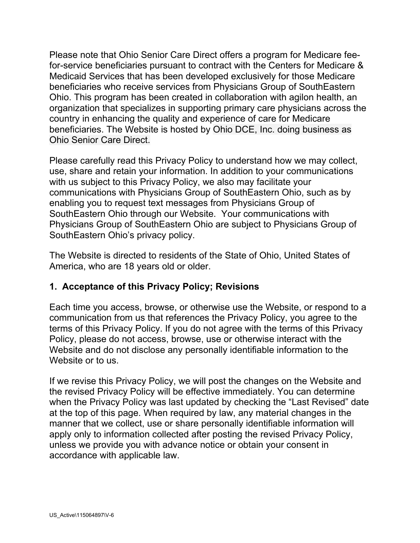Please note that Ohio Senior Care Direct offers a program for Medicare feefor-service beneficiaries pursuant to contract with the Centers for Medicare & Medicaid Services that has been developed exclusively for those Medicare beneficiaries who receive services from Physicians Group of SouthEastern Ohio. This program has been created in collaboration with agilon health, an organization that specializes in supporting primary care physicians across the country in enhancing the quality and experience of care for Medicare beneficiaries. The Website is hosted by Ohio DCE, Inc. doing business as Ohio Senior Care Direct.

Please carefully read this Privacy Policy to understand how we may collect, use, share and retain your information. In addition to your communications with us subject to this Privacy Policy, we also may facilitate your communications with Physicians Group of SouthEastern Ohio, such as by enabling you to request text messages from Physicians Group of SouthEastern Ohio through our Website. Your communications with Physicians Group of SouthEastern Ohio are subject to Physicians Group of SouthEastern Ohio's privacy policy.

The Website is directed to residents of the State of Ohio, United States of America, who are 18 years old or older.

#### **1. Acceptance of this Privacy Policy; Revisions**

Each time you access, browse, or otherwise use the Website, or respond to a communication from us that references the Privacy Policy, you agree to the terms of this Privacy Policy. If you do not agree with the terms of this Privacy Policy, please do not access, browse, use or otherwise interact with the Website and do not disclose any personally identifiable information to the Website or to us.

If we revise this Privacy Policy, we will post the changes on the Website and the revised Privacy Policy will be effective immediately. You can determine when the Privacy Policy was last updated by checking the "Last Revised" date at the top of this page. When required by law, any material changes in the manner that we collect, use or share personally identifiable information will apply only to information collected after posting the revised Privacy Policy, unless we provide you with advance notice or obtain your consent in accordance with applicable law.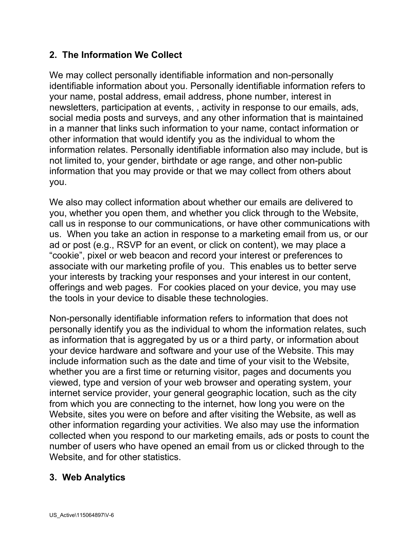## **2. The Information We Collect**

We may collect personally identifiable information and non-personally identifiable information about you. Personally identifiable information refers to your name, postal address, email address, phone number, interest in newsletters, participation at events, , activity in response to our emails, ads, social media posts and surveys, and any other information that is maintained in a manner that links such information to your name, contact information or other information that would identify you as the individual to whom the information relates. Personally identifiable information also may include, but is not limited to, your gender, birthdate or age range, and other non-public information that you may provide or that we may collect from others about you.

We also may collect information about whether our emails are delivered to you, whether you open them, and whether you click through to the Website, call us in response to our communications, or have other communications with us. When you take an action in response to a marketing email from us, or our ad or post (e.g., RSVP for an event, or click on content), we may place a "cookie", pixel or web beacon and record your interest or preferences to associate with our marketing profile of you. This enables us to better serve your interests by tracking your responses and your interest in our content, offerings and web pages. For cookies placed on your device, you may use the tools in your device to disable these technologies.

Non-personally identifiable information refers to information that does not personally identify you as the individual to whom the information relates, such as information that is aggregated by us or a third party, or information about your device hardware and software and your use of the Website. This may include information such as the date and time of your visit to the Website, whether you are a first time or returning visitor, pages and documents you viewed, type and version of your web browser and operating system, your internet service provider, your general geographic location, such as the city from which you are connecting to the internet, how long you were on the Website, sites you were on before and after visiting the Website, as well as other information regarding your activities. We also may use the information collected when you respond to our marketing emails, ads or posts to count the number of users who have opened an email from us or clicked through to the Website, and for other statistics.

#### **3. Web Analytics**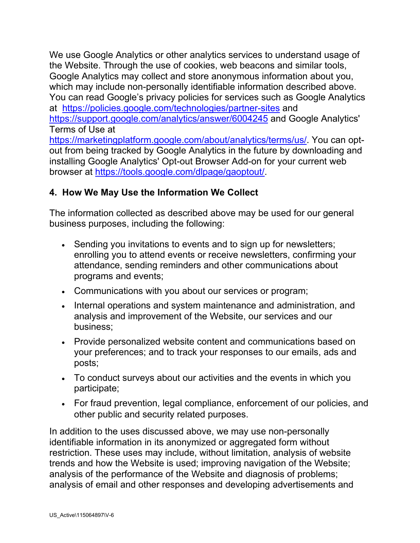We use Google Analytics or other analytics services to understand usage of the Website. Through the use of cookies, web beacons and similar tools, Google Analytics may collect and store anonymous information about you, which may include non-personally identifiable information described above. You can read Google's privacy policies for services such as Google Analytics at <https://policies.google.com/technologies/partner-sites> and <https://support.google.com/analytics/answer/6004245> and Google Analytics' Terms of Use at [https://marketingplatform.google.com/about/analytics/terms/us/.](https://marketingplatform.google.com/about/analytics/terms/us/) You can optout from being tracked by Google Analytics in the future by downloading and installing Google Analytics' Opt-out Browser Add-on for your current web browser at [https://tools.google.com/dlpage/gaoptout/.](https://tools.google.com/dlpage/gaoptout/)

#### **4. How We May Use the Information We Collect**

The information collected as described above may be used for our general business purposes, including the following:

- Sending you invitations to events and to sign up for newsletters; enrolling you to attend events or receive newsletters, confirming your attendance, sending reminders and other communications about programs and events;
- Communications with you about our services or program;
- Internal operations and system maintenance and administration, and analysis and improvement of the Website, our services and our business;
- Provide personalized website content and communications based on your preferences; and to track your responses to our emails, ads and posts;
- To conduct surveys about our activities and the events in which you participate;
- For fraud prevention, legal compliance, enforcement of our policies, and other public and security related purposes.

In addition to the uses discussed above, we may use non-personally identifiable information in its anonymized or aggregated form without restriction. These uses may include, without limitation, analysis of website trends and how the Website is used; improving navigation of the Website; analysis of the performance of the Website and diagnosis of problems; analysis of email and other responses and developing advertisements and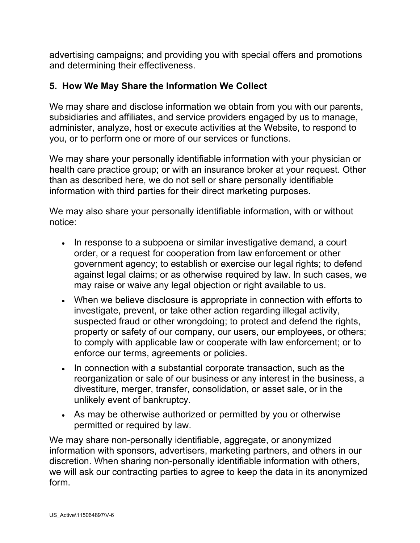advertising campaigns; and providing you with special offers and promotions and determining their effectiveness.

## **5. How We May Share the Information We Collect**

We may share and disclose information we obtain from you with our parents, subsidiaries and affiliates, and service providers engaged by us to manage, administer, analyze, host or execute activities at the Website, to respond to you, or to perform one or more of our services or functions.

We may share your personally identifiable information with your physician or health care practice group; or with an insurance broker at your request. Other than as described here, we do not sell or share personally identifiable information with third parties for their direct marketing purposes.

We may also share your personally identifiable information, with or without notice:

- In response to a subpoena or similar investigative demand, a court order, or a request for cooperation from law enforcement or other government agency; to establish or exercise our legal rights; to defend against legal claims; or as otherwise required by law. In such cases, we may raise or waive any legal objection or right available to us.
- When we believe disclosure is appropriate in connection with efforts to investigate, prevent, or take other action regarding illegal activity, suspected fraud or other wrongdoing; to protect and defend the rights, property or safety of our company, our users, our employees, or others; to comply with applicable law or cooperate with law enforcement; or to enforce our terms, agreements or policies.
- In connection with a substantial corporate transaction, such as the reorganization or sale of our business or any interest in the business, a divestiture, merger, transfer, consolidation, or asset sale, or in the unlikely event of bankruptcy.
- As may be otherwise authorized or permitted by you or otherwise permitted or required by law.

We may share non-personally identifiable, aggregate, or anonymized information with sponsors, advertisers, marketing partners, and others in our discretion. When sharing non-personally identifiable information with others, we will ask our contracting parties to agree to keep the data in its anonymized form.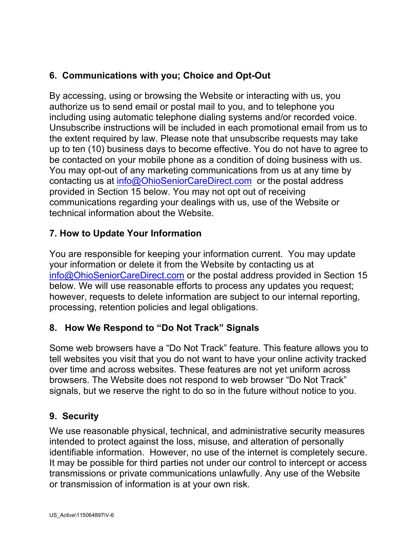# **6. Communications with you; Choice and Opt-Out**

By accessing, using or browsing the Website or interacting with us, you authorize us to send email or postal mail to you, and to telephone you including using automatic telephone dialing systems and/or recorded voice. Unsubscribe instructions will be included in each promotional email from us to the extent required by law. Please note that unsubscribe requests may take up to ten (10) business days to become effective. You do not have to agree to be contacted on your mobile phone as a condition of doing business with us. You may opt-out of any marketing communications from us at any time by contacting us at [info@OhioSeniorCareDirect.com](mailto:info@OhioSeniorCareDirect.com) or the postal address provided in Section 15 below. You may not opt out of receiving communications regarding your dealings with us, use of the Website or technical information about the Website.

# **7. How to Update Your Information**

You are responsible for keeping your information current. You may update your information or delete it from the Website by contacting us at [info@OhioSeniorCareDirect.com](mailto:info@OhioSeniorCareDirect.com) or the postal address provided in Section 15 below. We will use reasonable efforts to process any updates you request; however, requests to delete information are subject to our internal reporting, processing, retention policies and legal obligations.

# **8. How We Respond to "Do Not Track" Signals**

Some web browsers have a "Do Not Track" feature. This feature allows you to tell websites you visit that you do not want to have your online activity tracked over time and across websites. These features are not yet uniform across browsers. The Website does not respond to web browser "Do Not Track" signals, but we reserve the right to do so in the future without notice to you.

## **9. Security**

We use reasonable physical, technical, and administrative security measures intended to protect against the loss, misuse, and alteration of personally identifiable information. However, no use of the internet is completely secure. It may be possible for third parties not under our control to intercept or access transmissions or private communications unlawfully. Any use of the Website or transmission of information is at your own risk.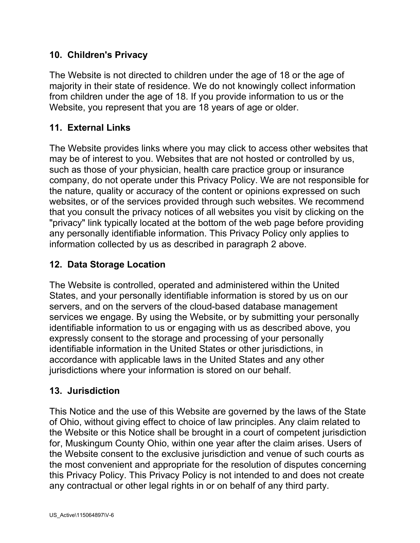## **10. Children's Privacy**

The Website is not directed to children under the age of 18 or the age of majority in their state of residence. We do not knowingly collect information from children under the age of 18. If you provide information to us or the Website, you represent that you are 18 years of age or older.

#### **11. External Links**

The Website provides links where you may click to access other websites that may be of interest to you. Websites that are not hosted or controlled by us, such as those of your physician, health care practice group or insurance company, do not operate under this Privacy Policy. We are not responsible for the nature, quality or accuracy of the content or opinions expressed on such websites, or of the services provided through such websites. We recommend that you consult the privacy notices of all websites you visit by clicking on the "privacy" link typically located at the bottom of the web page before providing any personally identifiable information. This Privacy Policy only applies to information collected by us as described in paragraph 2 above.

#### **12. Data Storage Location**

The Website is controlled, operated and administered within the United States, and your personally identifiable information is stored by us on our servers, and on the servers of the cloud-based database management services we engage. By using the Website, or by submitting your personally identifiable information to us or engaging with us as described above, you expressly consent to the storage and processing of your personally identifiable information in the United States or other jurisdictions, in accordance with applicable laws in the United States and any other jurisdictions where your information is stored on our behalf.

#### **13. Jurisdiction**

This Notice and the use of this Website are governed by the laws of the State of Ohio, without giving effect to choice of law principles. Any claim related to the Website or this Notice shall be brought in a court of competent jurisdiction for, Muskingum County Ohio, within one year after the claim arises. Users of the Website consent to the exclusive jurisdiction and venue of such courts as the most convenient and appropriate for the resolution of disputes concerning this Privacy Policy. This Privacy Policy is not intended to and does not create any contractual or other legal rights in or on behalf of any third party.